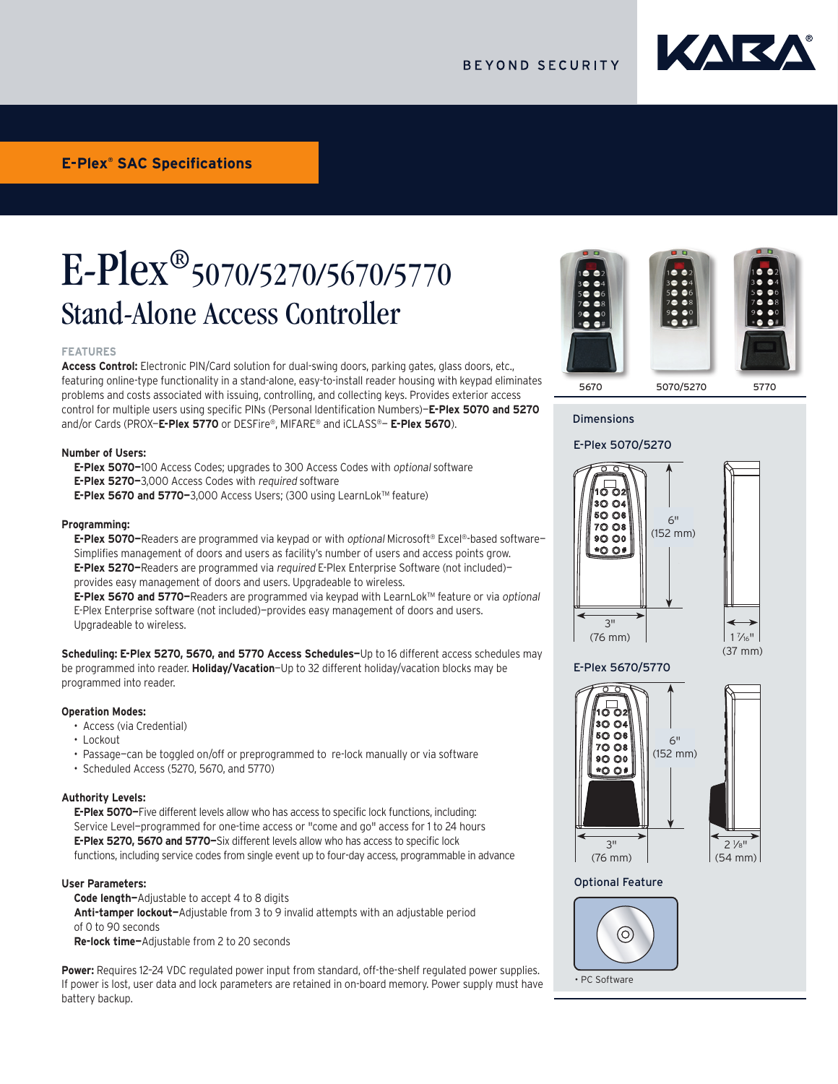

# E-Plex®5070/5270/5670/5770 Stand-Alone Access Controller

# **FEATURES**

**Access Control:** Electronic PIN/Card solution for dual-swing doors, parking gates, glass doors, etc., featuring online-type functionality in a stand-alone, easy-to-install reader housing with keypad eliminates problems and costs associated with issuing, controlling, and collecting keys. Provides exterior access control for multiple users using specific PINs (Personal Identification Numbers)—**E-Plex 5070 and 5270** and/or Cards (PROX—**E-Plex 5770** or DESFire®, MIFARE® and iCLASS®— **E-Plex 5670**).

# **Number of Users:**

**E-Plex 5070—**100 Access Codes; upgrades to 300 Access Codes with optional software **E-Plex 5270—**3,000 Access Codes with required software

**E-Plex 5670 and 5770—**3,000 Access Users; (300 using LearnLok™ feature)

### **Programming:**

**E-Plex 5070—**Readers are programmed via keypad or with optional Microsoft® Excel®-based software— Simplifies management of doors and users as facility's number of users and access points grow. **E-Plex 5270—**Readers are programmed via required E-Plex Enterprise Software (not included) provides easy management of doors and users. Upgradeable to wireless.

**E-Plex 5670 and 5770—**Readers are programmed via keypad with LearnLok™ feature or via optional E-Plex Enterprise software (not included)—provides easy management of doors and users. Upgradeable to wireless.

**Scheduling: E-Plex 5270, 5670, and 5770 Access Schedules—**Up to 16 different access schedules may be programmed into reader. **Holiday/Vacation**—Up to 32 different holiday/vacation blocks may be programmed into reader.

# **Operation Modes:**

- Access (via Credential)
- Lockout
- Passage—can be toggled on/off or preprogrammed to re-lock manually or via software
- Scheduled Access (5270, 5670, and 5770)

### **Authority Levels:**

**E-Plex 5070—**Five different levels allow who has access to specific lock functions, including: Service Level—programmed for one-time access or "come and go" access for 1 to 24 hours **E-Plex 5270, 5670 and 5770—**Six different levels allow who has access to specific lock functions, including service codes from single event up to four-day access, programmable in advance

# **User Parameters:**

**Code length—**Adjustable to accept 4 to 8 digits **Anti-tamper lockout—**Adjustable from 3 to 9 invalid attempts with an adjustable period of 0 to 90 seconds **Re-lock time—**Adjustable from 2 to 20 seconds

**Power:** Requires 12–24 VDC regulated power input from standard, off-the-shelf regulated power supplies. If power is lost, user data and lock parameters are retained in on-board memory. Power supply must have battery backup.



# Dimensions

# E-Plex 5070/5270



 $1\frac{7}{16}$ "



# Optional Feature